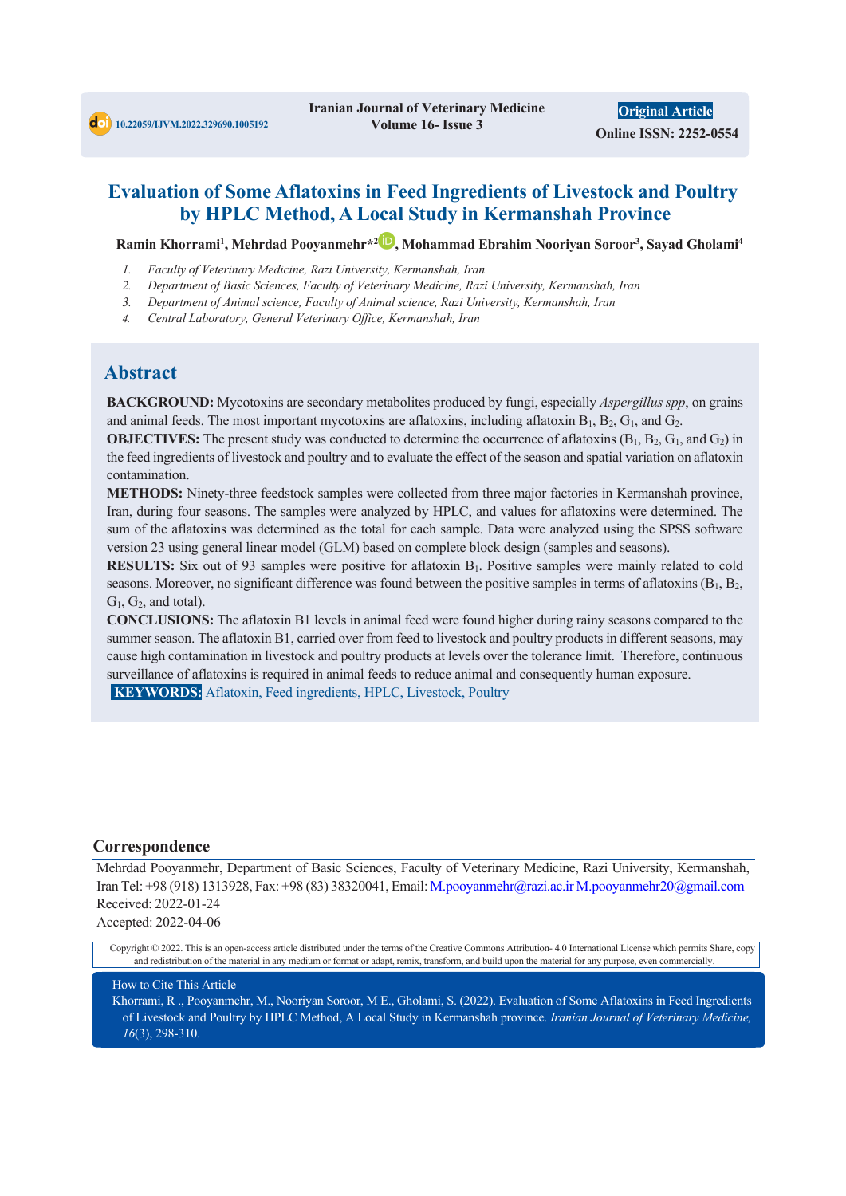## **Evaluation of Some Aflatoxins in Feed Ingredients of Livestock and Poultry by HPLC Method, A Local Study in Kermanshah Province**

Ramin Khorrami<sup>1</sup>, Mehrdad Pooyanmehr\*<sup>2</sup><sup>1</sup>, Mohammad Ebrahim Nooriyan Soroor<sup>3</sup>, Sayad Gholami<sup>4</sup>

- *1. Faculty of Veterinary Medicine, Razi University, Kermanshah, Iran*
- *2. Department of Basic Sciences, Faculty of Veterinary Medicine, Razi University, Kermanshah, Iran*
- *3. Department of Animal science, Faculty of Animal science, Razi University, Kermanshah, Iran*
- *4. Central Laboratory, General Veterinary Office, Kermanshah, Iran*

## **Abstract**

**BACKGROUND:** Mycotoxins are secondary metabolites produced by fungi, especially *Aspergillus spp*, on grains and animal feeds. The most important mycotoxins are aflatoxins, including aflatoxin  $B_1$ ,  $B_2$ ,  $G_1$ , and  $G_2$ .

**OBJECTIVES:** The present study was conducted to determine the occurrence of aflatoxins  $(B_1, B_2, G_1, and G_2)$  in the feed ingredients of livestock and poultry and to evaluate the effect of the season and spatial variation on aflatoxin contamination.

**METHODS:** Ninety-three feedstock samples were collected from three major factories in Kermanshah province, Iran, during four seasons. The samples were analyzed by HPLC, and values for aflatoxins were determined. The sum of the aflatoxins was determined as the total for each sample. Data were analyzed using the SPSS software version 23 using general linear model (GLM) based on complete block design (samples and seasons).

**RESULTS:** Six out of 93 samples were positive for aflatoxin B<sub>1</sub>. Positive samples were mainly related to cold seasons. Moreover, no significant difference was found between the positive samples in terms of aflatoxins  $(B_1, B_2, B_3)$  $G_1$ ,  $G_2$ , and total).

**CONCLUSIONS:** The aflatoxin B1 levels in animal feed were found higher during rainy seasons compared to the summer season. The aflatoxin B1, carried over from feed to livestock and poultry products in different seasons, may cause high contamination in livestock and poultry products at levels over the tolerance limit. Therefore, continuous surveillance of aflatoxins is required in animal feeds to reduce animal and consequently human exposure.

**KEYWORDS:** Aflatoxin, Feed ingredients, HPLC, Livestock, Poultry

#### **Correspondence**

Mehrdad Pooyanmehr, Department of Basic Sciences, Faculty of Veterinary Medicine, Razi University, Kermanshah, Iran Tel: +98 (918) 1313928, Fax: +98 (83) 38320041, Email: M.pooyanmehr@razi.ac.ir M.pooyanmehr20@gmail.com Received: 2022-01-24 Accepted: 2022-04-06

Copyright © 2022. This is an open-access article distributed under the terms of the Creative Commons Attribution- 4.0 International License which permits Share, copy and redistribution of the material in any medium or format or adapt, remix, transform, and build upon the material for any purpose, even commercially.

How to Cite This Article

Khorrami, R ., Pooyanmehr, M., Nooriyan Soroor, M E., Gholami, S. (2022). Evaluation of Some Aflatoxins in Feed Ingredients of Livestock and Poultry by HPLC Method, A Local Study in Kermanshah province. *Iranian Journal of Veterinary Medicine, 16*(3), 298-310.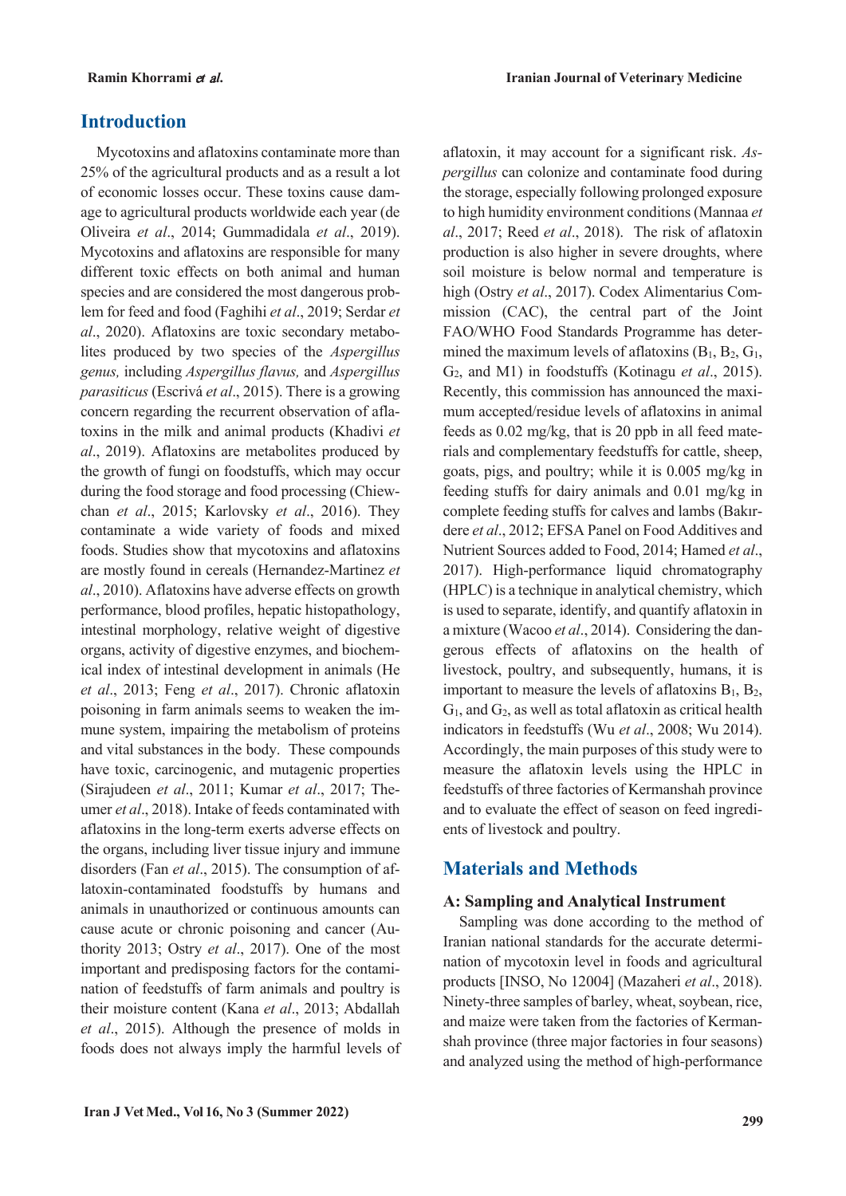## **Introduction**

Mycotoxins and aflatoxins contaminate more than 25% of the agricultural products and as a result a lot of economic losses occur. These toxins cause damage to agricultural products worldwide each year (de Oliveira *et al*., 2014; Gummadidala *et al*., 2019). Mycotoxins and aflatoxins are responsible for many different toxic effects on both animal and human species and are considered the most dangerous problem for feed and food (Faghihi *et al*., 2019; Serdar *et al*., 2020). Aflatoxins are toxic secondary metabolites produced by two species of the *Aspergillus genus,* including *Aspergillus flavus,* and *Aspergillus parasiticus* (Escrivá *et al*., 2015). There is a growing concern regarding the recurrent observation of aflatoxins in the milk and animal products (Khadivi *et al*., 2019). Aflatoxins are metabolites produced by the growth of fungi on foodstuffs, which may occur during the food storage and food processing (Chiewchan *et al*., 2015; Karlovsky *et al*., 2016). They contaminate a wide variety of foods and mixed foods. Studies show that mycotoxins and aflatoxins are mostly found in cereals (Hernandez-Martinez *et al*., 2010). Aflatoxins have adverse effects on growth performance, blood profiles, hepatic histopathology, intestinal morphology, relative weight of digestive organs, activity of digestive enzymes, and biochemical index of intestinal development in animals (He *et al*., 2013; Feng *et al*., 2017). Chronic aflatoxin poisoning in farm animals seems to weaken the immune system, impairing the metabolism of proteins and vital substances in the body. These compounds have toxic, carcinogenic, and mutagenic properties (Sirajudeen *et al*., 2011; Kumar *et al*., 2017; Theumer *et al*., 2018). Intake of feeds contaminated with aflatoxins in the long-term exerts adverse effects on the organs, including liver tissue injury and immune disorders (Fan *et al*., 2015). The consumption of aflatoxin-contaminated foodstuffs by humans and animals in unauthorized or continuous amounts can cause acute or chronic poisoning and cancer (Authority 2013; Ostry *et al*., 2017). One of the most important and predisposing factors for the contamination of feedstuffs of farm animals and poultry is their moisture content (Kana *et al*., 2013; Abdallah *et al*., 2015). Although the presence of molds in foods does not always imply the harmful levels of aflatoxin, it may account for a significant risk. *Aspergillus* can colonize and contaminate food during the storage, especially following prolonged exposure to high humidity environment conditions (Mannaa *et al*., 2017; Reed *et al*., 2018). The risk of aflatoxin production is also higher in severe droughts, where soil moisture is below normal and temperature is high (Ostry *et al*., 2017). Codex Alimentarius Commission (CAC), the central part of the Joint FAO/WHO Food Standards Programme has determined the maximum levels of aflatoxins  $(B_1, B_2, G_1,$ G2, and M1) in foodstuffs (Kotinagu *et al*., 2015). Recently, this commission has announced the maximum accepted/residue levels of aflatoxins in animal feeds as 0.02 mg/kg, that is 20 ppb in all feed materials and complementary feedstuffs for cattle, sheep, goats, pigs, and poultry; while it is 0.005 mg/kg in feeding stuffs for dairy animals and 0.01 mg/kg in complete feeding stuffs for calves and lambs (Bakırdere *et al*., 2012; EFSA Panel on Food Additives and Nutrient Sources added to Food, 2014; Hamed *et al*., 2017). High-performance liquid chromatography (HPLC) is a technique in analytical chemistry, which is used to separate, identify, and quantify aflatoxin in a mixture (Wacoo *et al*., 2014). Considering the dangerous effects of aflatoxins on the health of livestock, poultry, and subsequently, humans, it is important to measure the levels of aflatoxins  $B_1$ ,  $B_2$ ,  $G<sub>1</sub>$ , and  $G<sub>2</sub>$ , as well as total aflatoxin as critical health indicators in feedstuffs (Wu *et al*., 2008; Wu 2014). Accordingly, the main purposes of this study were to measure the aflatoxin levels using the HPLC in feedstuffs of three factories of Kermanshah province and to evaluate the effect of season on feed ingredients of livestock and poultry.

## **Materials and Methods**

#### **A: Sampling and Analytical Instrument**

Sampling was done according to the method of Iranian national standards for the accurate determination of mycotoxin level in foods and agricultural products [INSO, No 12004] (Mazaheri *et al*., 2018). Ninety-three samples of barley, wheat, soybean, rice, and maize were taken from the factories of Kermanshah province (three major factories in four seasons) and analyzed using the method of high-performance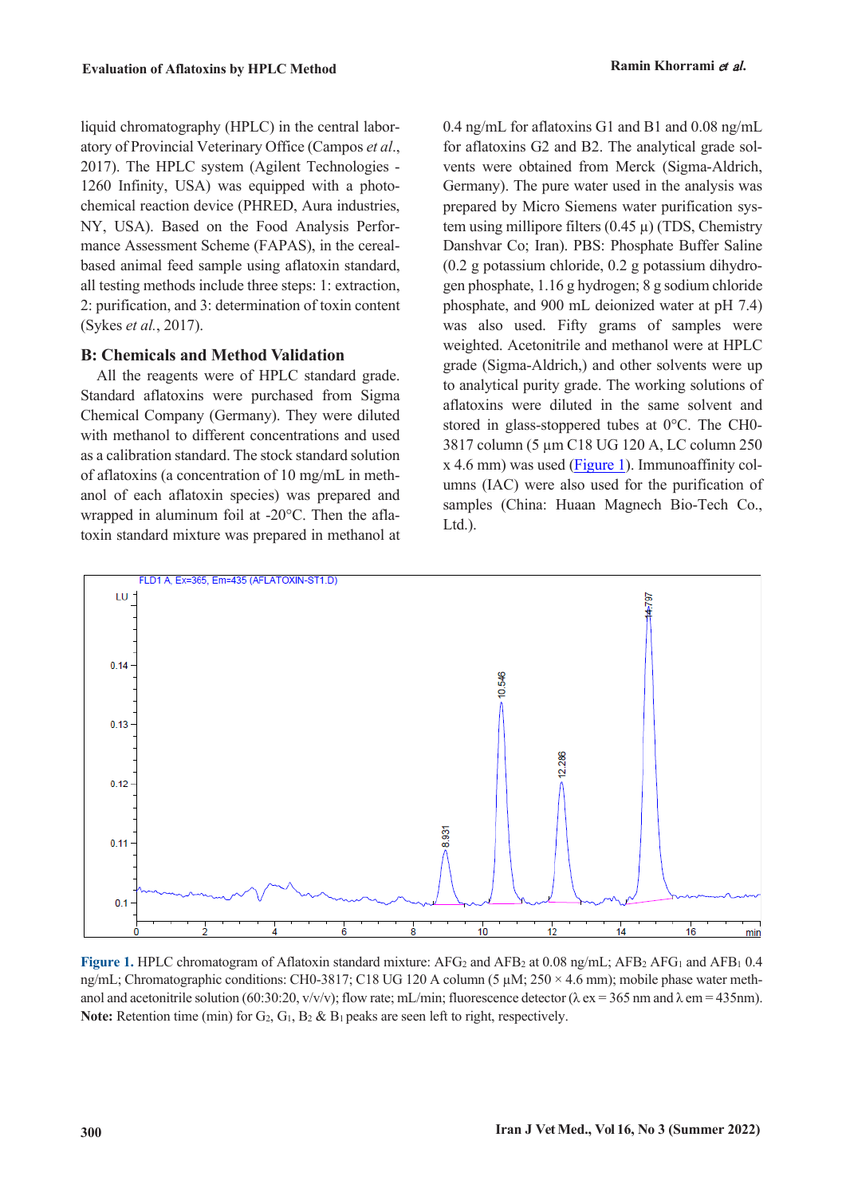liquid chromatography (HPLC) in the central laboratory of Provincial Veterinary Office (Campos *et al*., 2017). The HPLC system (Agilent Technologies - 1260 Infinity, USA) was equipped with a photochemical reaction device (PHRED, Aura industries, NY, USA). Based on the Food Analysis Performance Assessment Scheme (FAPAS), in the cerealbased animal feed sample using aflatoxin standard, all testing methods include three steps: 1: extraction, 2: purification, and 3: determination of toxin content (Sykes *et al.*, 2017).

#### **B: Chemicals and Method Validation**

All the reagents were of HPLC standard grade. Standard aflatoxins were purchased from Sigma Chemical Company (Germany). They were diluted with methanol to different concentrations and used as a calibration standard. The stock standard solution of aflatoxins (a concentration of 10 mg/mL in methanol of each aflatoxin species) was prepared and wrapped in aluminum foil at -20°C. Then the aflatoxin standard mixture was prepared in methanol at

0.4 ng/mL for aflatoxins G1 and B1 and 0.08 ng/mL for aflatoxins G2 and B2. The analytical grade solvents were obtained from Merck (Sigma-Aldrich, Germany). The pure water used in the analysis was prepared by Micro Siemens water purification system using millipore filters  $(0.45 \mu)$  (TDS, Chemistry Danshvar Co; Iran). PBS: Phosphate Buffer Saline (0.2 g potassium chloride, 0.2 g potassium dihydrogen phosphate, 1.16 g hydrogen; 8 g sodium chloride phosphate, and 900 mL deionized water at pH 7.4) was also used. Fifty grams of samples were weighted. Acetonitrile and methanol were at HPLC grade (Sigma-Aldrich,) and other solvents were up to analytical purity grade. The working solutions of aflatoxins were diluted in the same solvent and stored in glass-stoppered tubes at 0°C. The CH0- 3817 column (5 µm C18 UG 120 A, LC column 250 x 4.6 mm) was used [\(Figure 1\)](#page-2-0). Immunoaffinity columns (IAC) were also used for the purification of samples (China: Huaan Magnech Bio-Tech Co., Ltd.).



<span id="page-2-0"></span>**Figure 1.** HPLC chromatogram of Aflatoxin standard mixture:  $AFG_2$  and  $AFB_2$  at 0.08 ng/mL;  $AFB_2$   $AFG_1$  and  $AFB_1$  0.4 ng/mL; Chromatographic conditions: CH0-3817; C18 UG 120 A column (5  $\mu$ M; 250 × 4.6 mm); mobile phase water methanol and acetonitrile solution (60:30:20, v/v/v); flow rate; mL/min; fluorescence detector ( $\lambda$  ex = 365 nm and  $\lambda$  em = 435nm). **Note:** Retention time (min) for  $G_2$ ,  $G_1$ ,  $B_2$  &  $B_1$  peaks are seen left to right, respectively.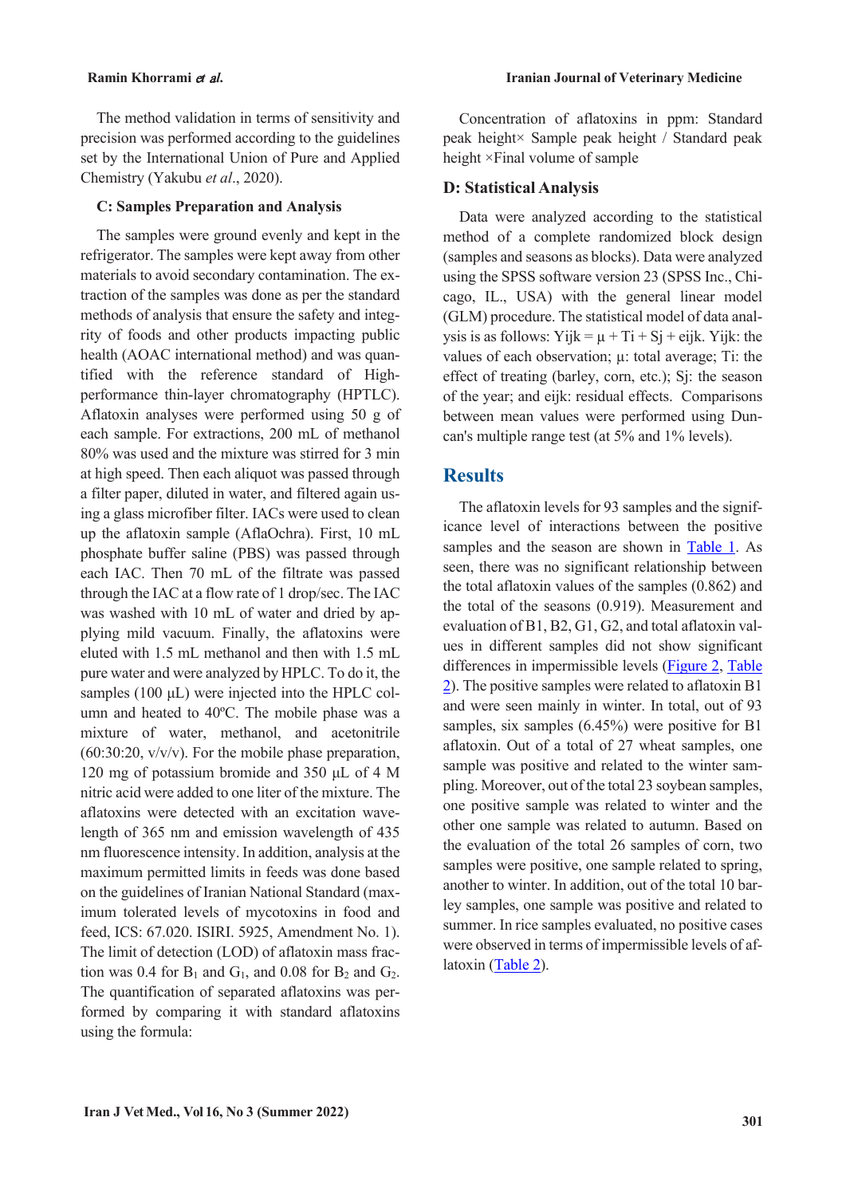The method validation in terms of sensitivity and precision was performed according to the guidelines set by the International Union of Pure and Applied Chemistry (Yakubu *et al*., 2020).

#### **C: Samples Preparation and Analysis**

The samples were ground evenly and kept in the refrigerator. The samples were kept away from other materials to avoid secondary contamination. The extraction of the samples was done as per the standard methods of analysis that ensure the safety and integrity of foods and other products impacting public health (AOAC international method) and was quantified with the reference standard of Highperformance thin-layer chromatography (HPTLC). Aflatoxin analyses were performed using 50 g of each sample. For extractions, 200 mL of methanol 80% was used and the mixture was stirred for 3 min at high speed. Then each aliquot was passed through a filter paper, diluted in water, and filtered again using a glass microfiber filter. IACs were used to clean up the aflatoxin sample (AflaOchra). First, 10 mL phosphate buffer saline (PBS) was passed through each IAC. Then 70 mL of the filtrate was passed through the IAC at a flow rate of 1 drop/sec. The IAC was washed with 10 mL of water and dried by applying mild vacuum. Finally, the aflatoxins were eluted with 1.5 mL methanol and then with 1.5 mL pure water and were analyzed by HPLC. To do it, the samples (100 μL) were injected into the HPLC column and heated to 40ºC. The mobile phase was a mixture of water, methanol, and acetonitrile  $(60:30:20, v/v/v)$ . For the mobile phase preparation, 120 mg of potassium bromide and 350 μL of 4 M nitric acid were added to one liter of the mixture. The aflatoxins were detected with an excitation wavelength of 365 nm and emission wavelength of 435 nm fluorescence intensity. In addition, analysis at the maximum permitted limits in feeds was done based on the guidelines of Iranian National Standard (maximum tolerated levels of mycotoxins in food and feed, ICS: 67.020. ISIRI. 5925, Amendment No. 1). The limit of detection (LOD) of aflatoxin mass fraction was 0.4 for  $B_1$  and  $G_1$ , and 0.08 for  $B_2$  and  $G_2$ . The quantification of separated aflatoxins was performed by comparing it with standard aflatoxins using the formula:

Concentration of aflatoxins in ppm: Standard peak height× Sample peak height / Standard peak height ×Final volume of sample

#### **D: Statistical Analysis**

Data were analyzed according to the statistical method of a complete randomized block design (samples and seasons as blocks). Data were analyzed using the SPSS software version 23 (SPSS Inc., Chicago, IL., USA) with the general linear model (GLM) procedure. The statistical model of data analysis is as follows: Yijk =  $\mu$  + Ti + Sj + eijk. Yijk: the values of each observation; µ: total average; Ti: the effect of treating (barley, corn, etc.); Sj: the season of the year; and eijk: residual effects. Comparisons between mean values were performed using Duncan's multiple range test (at 5% and 1% levels).

### **Results**

<span id="page-3-0"></span>The aflatoxin levels for 93 samples and the significance level of interactions between the positive samples and the season are shown in [Table 1.](#page-3-0) As seen, there was no significant relationship between the total aflatoxin values of the samples (0.862) and the total of the seasons (0.919). Measurement and evaluation of B1, B2, G1, G2, and total aflatoxin values in different samples did not show significant differences in impermissible levels [\(Figure 2,](#page-5-0) [Table](#page-4-0)  [2\)](#page-4-0). The positive samples were related to aflatoxin B1 and were seen mainly in winter. In total, out of 93 samples, six samples (6.45%) were positive for B1 aflatoxin. Out of a total of 27 wheat samples, one sample was positive and related to the winter sampling. Moreover, out of the total 23 soybean samples, one positive sample was related to winter and the other one sample was related to autumn. Based on the evaluation of the total 26 samples of corn, two samples were positive, one sample related to spring, another to winter. In addition, out of the total 10 barley samples, one sample was positive and related to summer. In rice samples evaluated, no positive cases were observed in terms of impermissible levels of aflatoxin [\(Table 2\)](#page-4-0).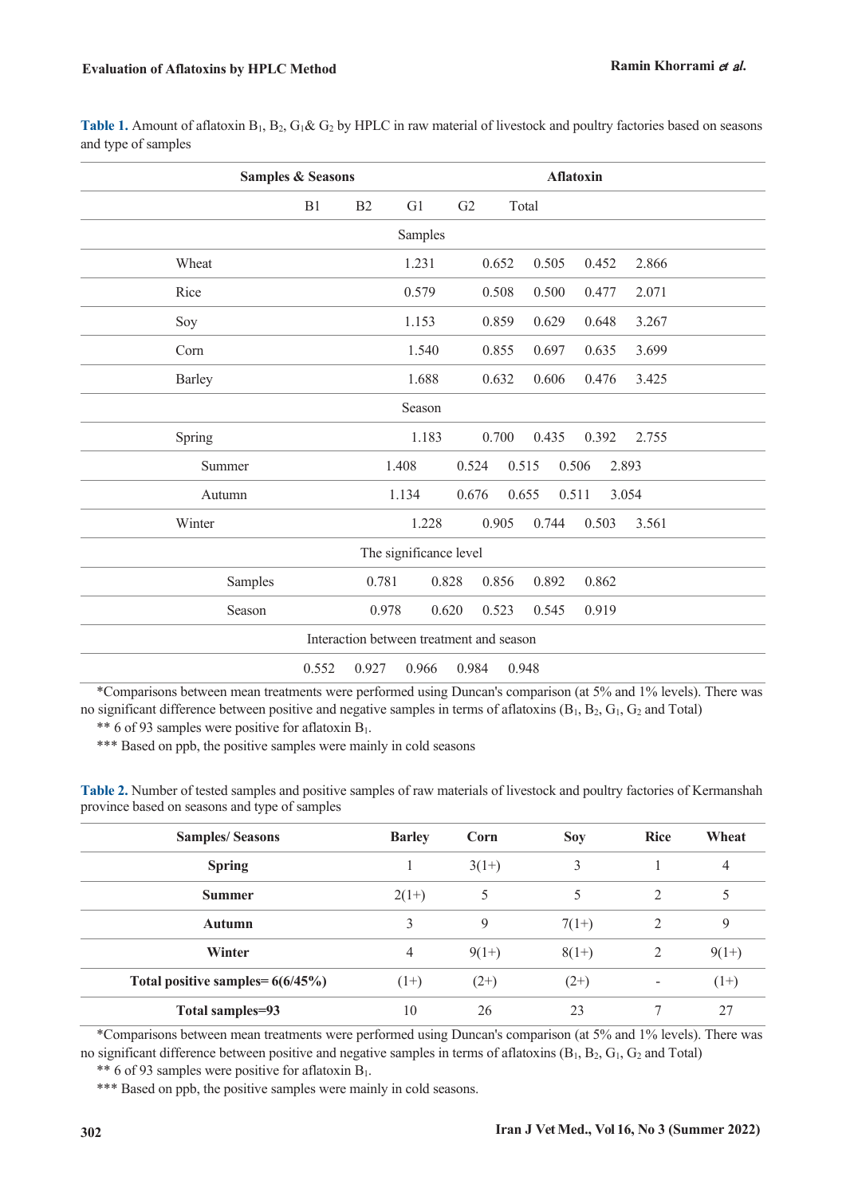J.

| <b>Samples &amp; Seasons</b>              |          | <b>Aflatoxin</b>                 |       |  |  |  |  |
|-------------------------------------------|----------|----------------------------------|-------|--|--|--|--|
| B1                                        | B2<br>G1 | G2<br>Total                      |       |  |  |  |  |
| Samples                                   |          |                                  |       |  |  |  |  |
| Wheat                                     | 1.231    | 0.652<br>0.505<br>0.452          | 2.866 |  |  |  |  |
| Rice                                      | 0.579    | 0.508<br>0.500<br>0.477          | 2.071 |  |  |  |  |
| Soy                                       | 1.153    | 0.859<br>0.629<br>0.648          | 3.267 |  |  |  |  |
| Corn                                      | 1.540    | 0.855<br>0.697<br>0.635          | 3.699 |  |  |  |  |
| <b>Barley</b>                             | 1.688    | 0.632<br>0.606<br>0.476          | 3.425 |  |  |  |  |
|                                           | Season   |                                  |       |  |  |  |  |
| Spring                                    | 1.183    | 0.700<br>0.435<br>0.392          | 2.755 |  |  |  |  |
| Summer                                    | 1.408    | 0.524<br>0.515<br>0.506<br>2.893 |       |  |  |  |  |
| Autumn                                    | 1.134    | 0.511<br>0.676<br>0.655<br>3.054 |       |  |  |  |  |
| Winter                                    | 1.228    | 0.905<br>0.744<br>0.503          | 3.561 |  |  |  |  |
| The significance level                    |          |                                  |       |  |  |  |  |
| Samples                                   | 0.781    | 0.828<br>0.856<br>0.892<br>0.862 |       |  |  |  |  |
| Season                                    | 0.978    | 0.620<br>0.523<br>0.545<br>0.919 |       |  |  |  |  |
| Interaction between treatment and season  |          |                                  |       |  |  |  |  |
| 0.552<br>0.927<br>0.966<br>0.984<br>0.948 |          |                                  |       |  |  |  |  |

\*Comparisons between mean treatments were performed using Duncan's comparison (at 5% and 1% levels). There was no significant difference between positive and negative samples in terms of aflatoxins  $(B_1, B_2, G_1, G_2, A_1)$ 

\*\* 6 of 93 samples were positive for aflatoxin  $B_1$ .

\*\*\* Based on ppb, the positive samples were mainly in cold seasons

<span id="page-4-0"></span>**Table 2.** Number of tested samples and positive samples of raw materials of livestock and poultry factories of Kermanshah province based on seasons and type of samples

| <b>Samples/Seasons</b>             | <b>Barley</b> | Corn    | <b>Soy</b> | <b>Rice</b>   | Wheat   |
|------------------------------------|---------------|---------|------------|---------------|---------|
| <b>Spring</b>                      |               | $3(1+)$ | 3          |               | 4       |
| <b>Summer</b>                      | $2(1+)$       | 5       | 5          | $\mathcal{D}$ |         |
| <b>Autumn</b>                      | 3             | 9       | $7(1+)$    | 2             | 9       |
| Winter                             | 4             | $9(1+)$ | $8(1+)$    | 2             | $9(1+)$ |
| Total positive samples= $6(6/45%)$ | $(1+)$        | $(2+)$  | $(2+)$     |               | $(1+)$  |
| Total samples=93                   | 10            | 26      | 23         |               | 27      |

\*Comparisons between mean treatments were performed using Duncan's comparison (at 5% and 1% levels). There was no significant difference between positive and negative samples in terms of aflatoxins  $(B_1, B_2, G_1, G_2, A_1)$ 

\*\* 6 of 93 samples were positive for aflatoxin  $B_1$ .

\*\*\* Based on ppb, the positive samples were mainly in cold seasons.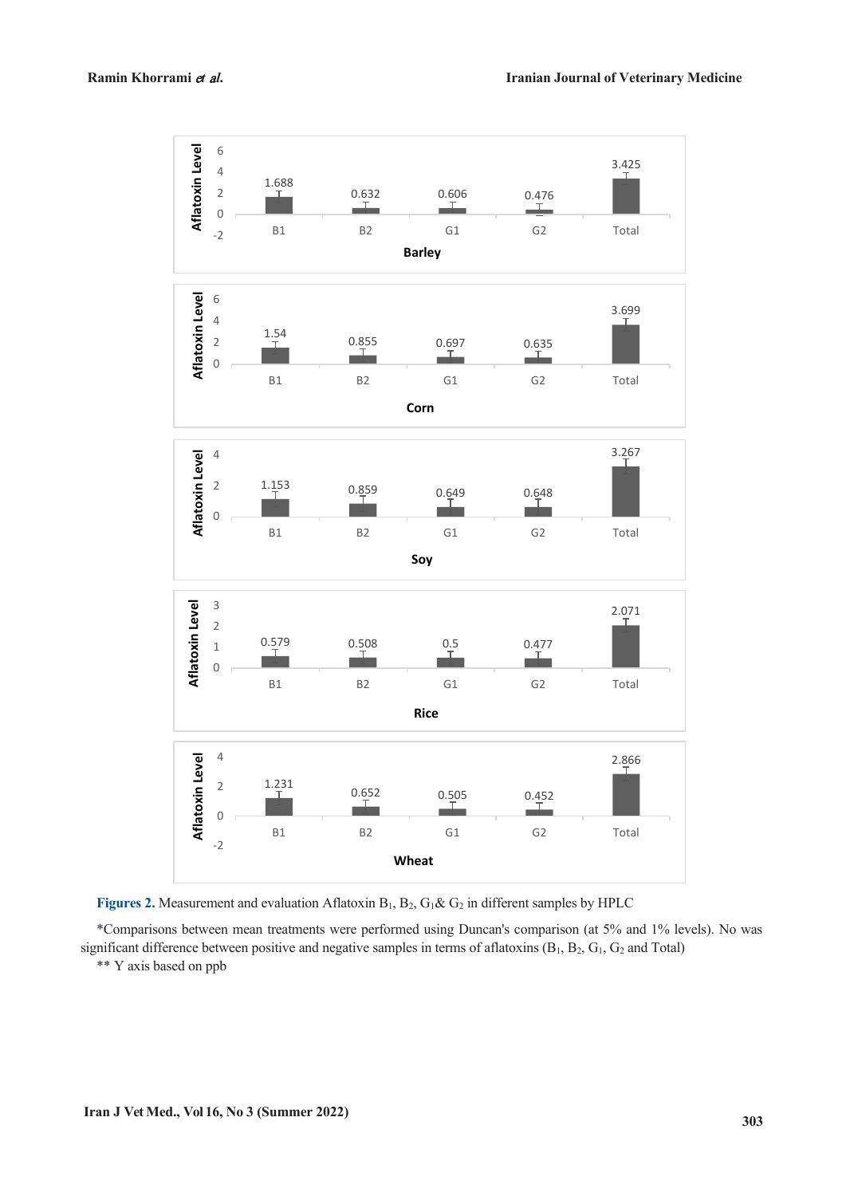

<span id="page-5-0"></span>Figures 2. Measurement and evaluation Aflatoxin B<sub>1</sub>, B<sub>2</sub>, G<sub>1</sub>& G<sub>2</sub> in different samples by HPLC

\*Comparisons between mean treatments were performed using Duncan's comparison (at 5% and 1% levels). No was significant difference between positive and negative samples in terms of aflatoxins (B<sub>1</sub>, B<sub>2</sub>, G<sub>1</sub>, G<sub>2</sub> and Total)

\*\* Y axis based on ppb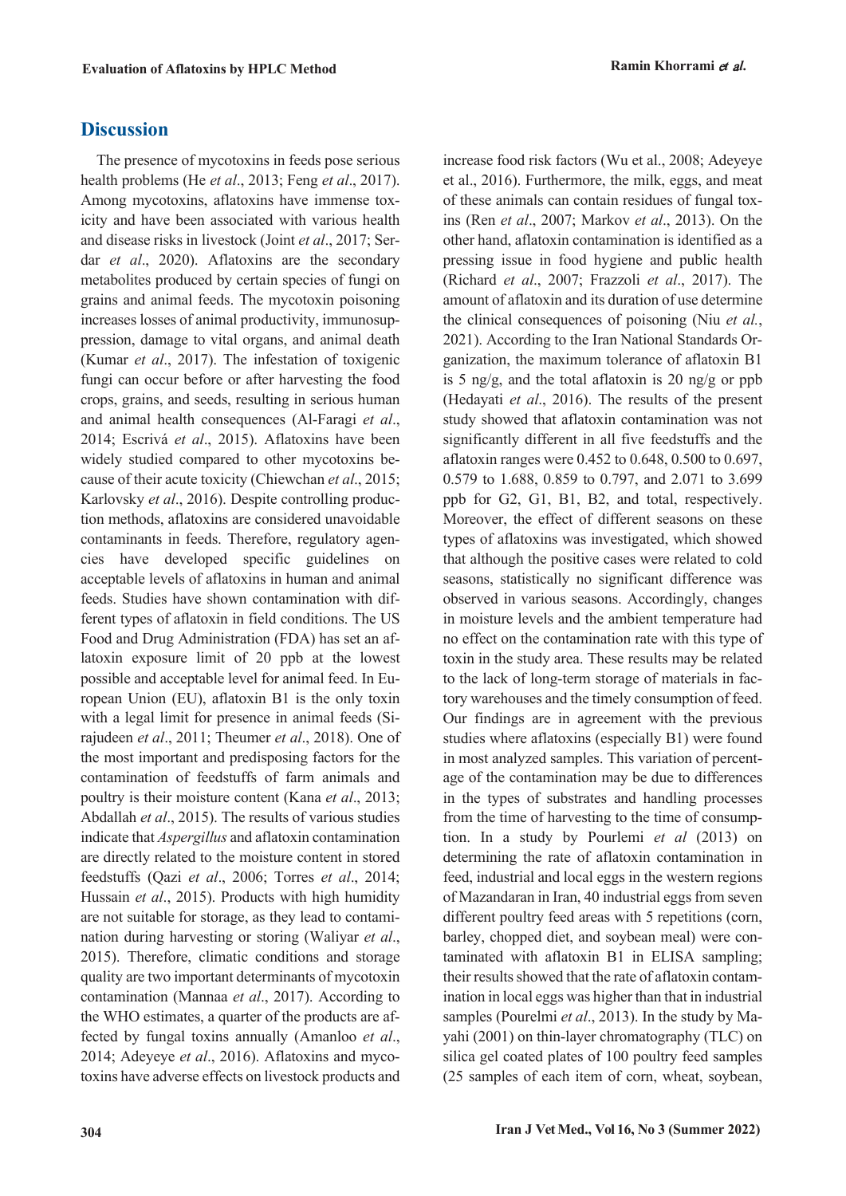## **Discussion**

The presence of mycotoxins in feeds pose serious health problems (He *et al*., 2013; Feng *et al*., 2017). Among mycotoxins, aflatoxins have immense toxicity and have been associated with various health and disease risks in livestock (Joint *et al*., 2017; Serdar *et al*., 2020). Aflatoxins are the secondary metabolites produced by certain species of fungi on grains and animal feeds. The mycotoxin poisoning increases losses of animal productivity, immunosuppression, damage to vital organs, and animal death (Kumar *et al*., 2017). The infestation of toxigenic fungi can occur before or after harvesting the food crops, grains, and seeds, resulting in serious human and animal health consequences (Al-Faragi *et al*., 2014; Escrivá *et al*., 2015). Aflatoxins have been widely studied compared to other mycotoxins because of their acute toxicity (Chiewchan *et al*., 2015; Karlovsky *et al*., 2016). Despite controlling production methods, aflatoxins are considered unavoidable contaminants in feeds. Therefore, regulatory agencies have developed specific guidelines on acceptable levels of aflatoxins in human and animal feeds. Studies have shown contamination with different types of aflatoxin in field conditions. The US Food and Drug Administration (FDA) has set an aflatoxin exposure limit of 20 ppb at the lowest possible and acceptable level for animal feed. In European Union (EU), aflatoxin B1 is the only toxin with a legal limit for presence in animal feeds (Sirajudeen *et al*., 2011; Theumer *et al*., 2018). One of the most important and predisposing factors for the contamination of feedstuffs of farm animals and poultry is their moisture content (Kana *et al*., 2013; Abdallah *et al*., 2015). The results of various studies indicate that *Aspergillus* and aflatoxin contamination are directly related to the moisture content in stored feedstuffs (Qazi *et al*., 2006; Torres *et al*., 2014; Hussain *et al*., 2015). Products with high humidity are not suitable for storage, as they lead to contamination during harvesting or storing (Waliyar *et al*., 2015). Therefore, climatic conditions and storage quality are two important determinants of mycotoxin contamination (Mannaa *et al*., 2017). According to the WHO estimates, a quarter of the products are affected by fungal toxins annually (Amanloo *et al*., 2014; Adeyeye *et al*., 2016). Aflatoxins and mycotoxins have adverse effects on livestock products and

increase food risk factors (Wu et al., 2008; Adeyeye et al., 2016). Furthermore, the milk, eggs, and meat of these animals can contain residues of fungal toxins (Ren *et al*., 2007; Markov *et al*., 2013). On the other hand, aflatoxin contamination is identified as a pressing issue in food hygiene and public health (Richard *et al*., 2007; Frazzoli *et al*., 2017). The amount of aflatoxin and its duration of use determine the clinical consequences of poisoning (Niu *et al.*, 2021). According to the Iran National Standards Organization, the maximum tolerance of aflatoxin B1 is 5 ng/g, and the total aflatoxin is 20 ng/g or ppb (Hedayati *et al*., 2016). The results of the present study showed that aflatoxin contamination was not significantly different in all five feedstuffs and the aflatoxin ranges were 0.452 to 0.648, 0.500 to 0.697, 0.579 to 1.688, 0.859 to 0.797, and 2.071 to 3.699 ppb for G2, G1, B1, B2, and total, respectively. Moreover, the effect of different seasons on these types of aflatoxins was investigated, which showed that although the positive cases were related to cold seasons, statistically no significant difference was observed in various seasons. Accordingly, changes in moisture levels and the ambient temperature had no effect on the contamination rate with this type of toxin in the study area. These results may be related to the lack of long-term storage of materials in factory warehouses and the timely consumption of feed. Our findings are in agreement with the previous studies where aflatoxins (especially B1) were found in most analyzed samples. This variation of percentage of the contamination may be due to differences in the types of substrates and handling processes from the time of harvesting to the time of consumption. In a study by Pourlemi *et al* (2013) on determining the rate of aflatoxin contamination in feed, industrial and local eggs in the western regions of Mazandaran in Iran, 40 industrial eggs from seven different poultry feed areas with 5 repetitions (corn, barley, chopped diet, and soybean meal) were contaminated with aflatoxin B1 in ELISA sampling; their results showed that the rate of aflatoxin contamination in local eggs was higher than that in industrial samples (Pourelmi *et al*., 2013). In the study by Mayahi (2001) on thin-layer chromatography (TLC) on silica gel coated plates of 100 poultry feed samples (25 samples of each item of corn, wheat, soybean,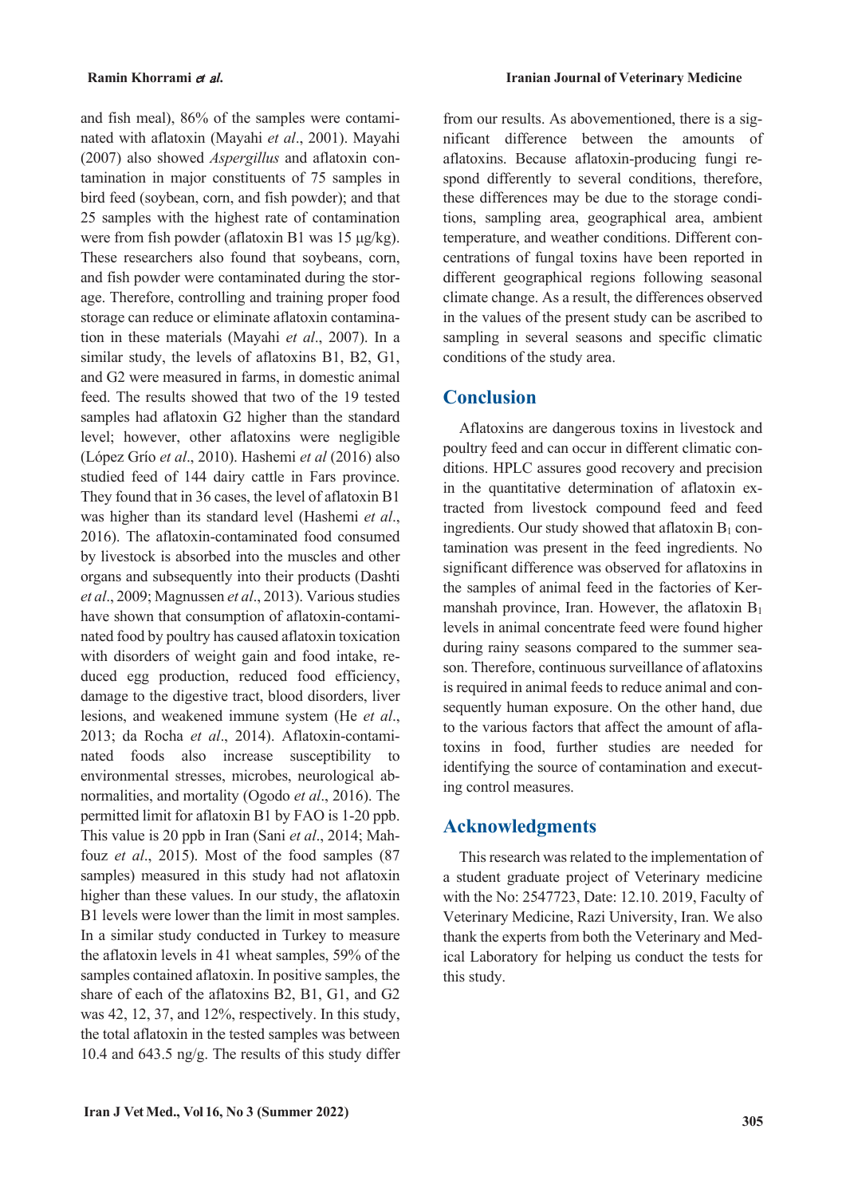and fish meal), 86% of the samples were contaminated with aflatoxin (Mayahi *et al*., 2001). Mayahi (2007) also showed *Aspergillus* and aflatoxin contamination in major constituents of 75 samples in bird feed (soybean, corn, and fish powder); and that 25 samples with the highest rate of contamination were from fish powder (aflatoxin B1 was 15 μg/kg). These researchers also found that soybeans, corn, and fish powder were contaminated during the storage. Therefore, controlling and training proper food storage can reduce or eliminate aflatoxin contamination in these materials (Mayahi *et al*., 2007). In a similar study, the levels of aflatoxins B1, B2, G1, and G2 were measured in farms, in domestic animal feed. The results showed that two of the 19 tested samples had aflatoxin G2 higher than the standard level; however, other aflatoxins were negligible (López Grío *et al*., 2010). Hashemi *et al* (2016) also studied feed of 144 dairy cattle in Fars province. They found that in 36 cases, the level of aflatoxin B1 was higher than its standard level (Hashemi *et al*., 2016). The aflatoxin-contaminated food consumed by livestock is absorbed into the muscles and other organs and subsequently into their products (Dashti *et al*., 2009; Magnussen *et al*., 2013). Various studies have shown that consumption of aflatoxin-contaminated food by poultry has caused aflatoxin toxication with disorders of weight gain and food intake, reduced egg production, reduced food efficiency, damage to the digestive tract, blood disorders, liver lesions, and weakened immune system (He *et al*., 2013; da Rocha *et al*., 2014). Aflatoxin-contaminated foods also increase susceptibility to environmental stresses, microbes, neurological abnormalities, and mortality (Ogodo *et al*., 2016). The permitted limit for aflatoxin B1 by FAO is 1-20 ppb. This value is 20 ppb in Iran (Sani *et al*., 2014; Mahfouz *et al*., 2015). Most of the food samples (87 samples) measured in this study had not aflatoxin higher than these values. In our study, the aflatoxin B1 levels were lower than the limit in most samples. In a similar study conducted in Turkey to measure the aflatoxin levels in 41 wheat samples, 59% of the samples contained aflatoxin. In positive samples, the share of each of the aflatoxins B2, B1, G1, and G2 was 42, 12, 37, and 12%, respectively. In this study, the total aflatoxin in the tested samples was between 10.4 and 643.5 ng/g. The results of this study differ

from our results. As abovementioned, there is a significant difference between the amounts of aflatoxins. Because aflatoxin-producing fungi respond differently to several conditions, therefore, these differences may be due to the storage conditions, sampling area, geographical area, ambient temperature, and weather conditions. Different concentrations of fungal toxins have been reported in different geographical regions following seasonal climate change. As a result, the differences observed in the values of the present study can be ascribed to sampling in several seasons and specific climatic conditions of the study area.

## **Conclusion**

Aflatoxins are dangerous toxins in livestock and poultry feed and can occur in different climatic conditions. HPLC assures good recovery and precision in the quantitative determination of aflatoxin extracted from livestock compound feed and feed ingredients. Our study showed that aflatoxin  $B_1$  contamination was present in the feed ingredients. No significant difference was observed for aflatoxins in the samples of animal feed in the factories of Kermanshah province, Iran. However, the aflatoxin  $B_1$ levels in animal concentrate feed were found higher during rainy seasons compared to the summer season. Therefore, continuous surveillance of aflatoxins is required in animal feeds to reduce animal and consequently human exposure. On the other hand, due to the various factors that affect the amount of aflatoxins in food, further studies are needed for identifying the source of contamination and executing control measures.

## **Acknowledgments**

This research was related to the implementation of a student graduate project of Veterinary medicine with the No: 2547723, Date: 12.10. 2019, Faculty of Veterinary Medicine, Razi University, Iran. We also thank the experts from both the Veterinary and Medical Laboratory for helping us conduct the tests for this study.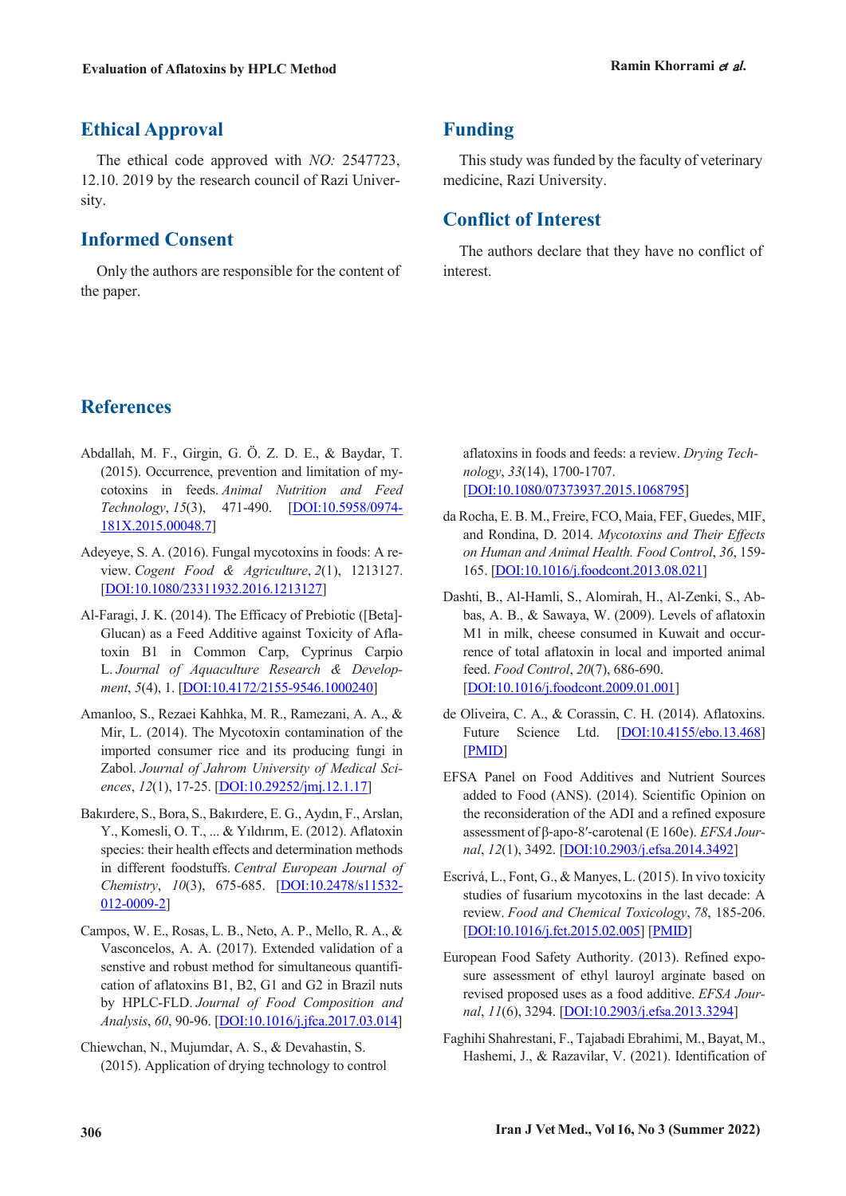# **Ethical Approval**

The ethical code approved with *NO:* 2547723, 12.10. 2019 by the research council of Razi University.

## **Informed Consent**

Only the authors are responsible for the content of the paper.

# **Funding**

This study was funded by the faculty of veterinary medicine, Razi University.

# **Conflict of Interest**

The authors declare that they have no conflict of interest.

# **References**

- Abdallah, M. F., Girgin, G. Ö. Z. D. E., & Baydar, T. (2015). Occurrence, prevention and limitation of mycotoxins in feeds. *Animal Nutrition and Feed Technology*, *15*(3), 471-490. [DOI:10.5958/0974- 181X.2015.00048.7]
- Adeyeye, S. A. (2016). Fungal mycotoxins in foods: A review. *Cogent Food & Agriculture*, *2*(1), 1213127. [DOI:10.1080/23311932.2016.1213127]
- Al-Faragi, J. K. (2014). The Efficacy of Prebiotic ([Beta]- Glucan) as a Feed Additive against Toxicity of Aflatoxin B1 in Common Carp, Cyprinus Carpio L. *Journal of Aquaculture Research & Development*, *5*(4), 1. [DOI:10.4172/2155-9546.1000240]
- Amanloo, S., Rezaei Kahhka, M. R., Ramezani, A. A., & Mir, L. (2014). The Mycotoxin contamination of the imported consumer rice and its producing fungi in Zabol. *Journal of Jahrom University of Medical Sciences*, *12*(1), 17-25. [DOI:10.29252/jmj.12.1.17]
- Bakırdere, S., Bora, S., Bakırdere, E. G., Aydın, F., Arslan, Y., Komesli, O. T., ... & Yıldırım, E. (2012). Aflatoxin species: their health effects and determination methods in different foodstuffs. *Central European Journal of Chemistry*, *10*(3), 675-685. [DOI:10.2478/s11532- 012-0009-2]
- Campos, W. E., Rosas, L. B., Neto, A. P., Mello, R. A., & Vasconcelos, A. A. (2017). Extended validation of a senstive and robust method for simultaneous quantification of aflatoxins B1, B2, G1 and G2 in Brazil nuts by HPLC-FLD. *Journal of Food Composition and Analysis*, *60*, 90-96. [DOI:10.1016/j.jfca.2017.03.014]
- Chiewchan, N., Mujumdar, A. S., & Devahastin, S. (2015). Application of drying technology to control

aflatoxins in foods and feeds: a review. *Drying Technology*, *33*(14), 1700-1707. [DOI:10.1080/07373937.2015.1068795]

- da Rocha, E. B. M., Freire, FCO, Maia, FEF, Guedes, MIF, and Rondina, D. 2014. *Mycotoxins and Their Effects on Human and Animal Health. Food Control*, *36*, 159- 165. [DOI:10.1016/j.foodcont.2013.08.021]
- Dashti, B., Al-Hamli, S., Alomirah, H., Al-Zenki, S., Abbas, A. B., & Sawaya, W. (2009). Levels of aflatoxin M1 in milk, cheese consumed in Kuwait and occurrence of total aflatoxin in local and imported animal feed. *Food Control*, *20*(7), 686-690. [DOI:10.1016/j.foodcont.2009.01.001]
- de Oliveira, C. A., & Corassin, C. H. (2014). Aflatoxins. Future Science Ltd. [DOI:10.4155/ebo.13.468] [PMID]
- EFSA Panel on Food Additives and Nutrient Sources added to Food (ANS). (2014). Scientific Opinion on the reconsideration of the ADI and a refined exposure assessment of β‐apo‐8′‐carotenal (E 160e). *EFSA Journal*, *12*(1), 3492. [DOI:10.2903/j.efsa.2014.3492]
- Escrivá, L., Font, G., & Manyes, L. (2015). In vivo toxicity studies of fusarium mycotoxins in the last decade: A review. *Food and Chemical Toxicology*, *78*, 185-206. [DOI:10.1016/j.fct.2015.02.005] [PMID]
- European Food Safety Authority. (2013). Refined exposure assessment of ethyl lauroyl arginate based on revised proposed uses as a food additive. *EFSA Journal*, *11*(6), 3294. [DOI:10.2903/j.efsa.2013.3294]
- Faghihi Shahrestani, F., Tajabadi Ebrahimi, M., Bayat, M., Hashemi, J., & Razavilar, V. (2021). Identification of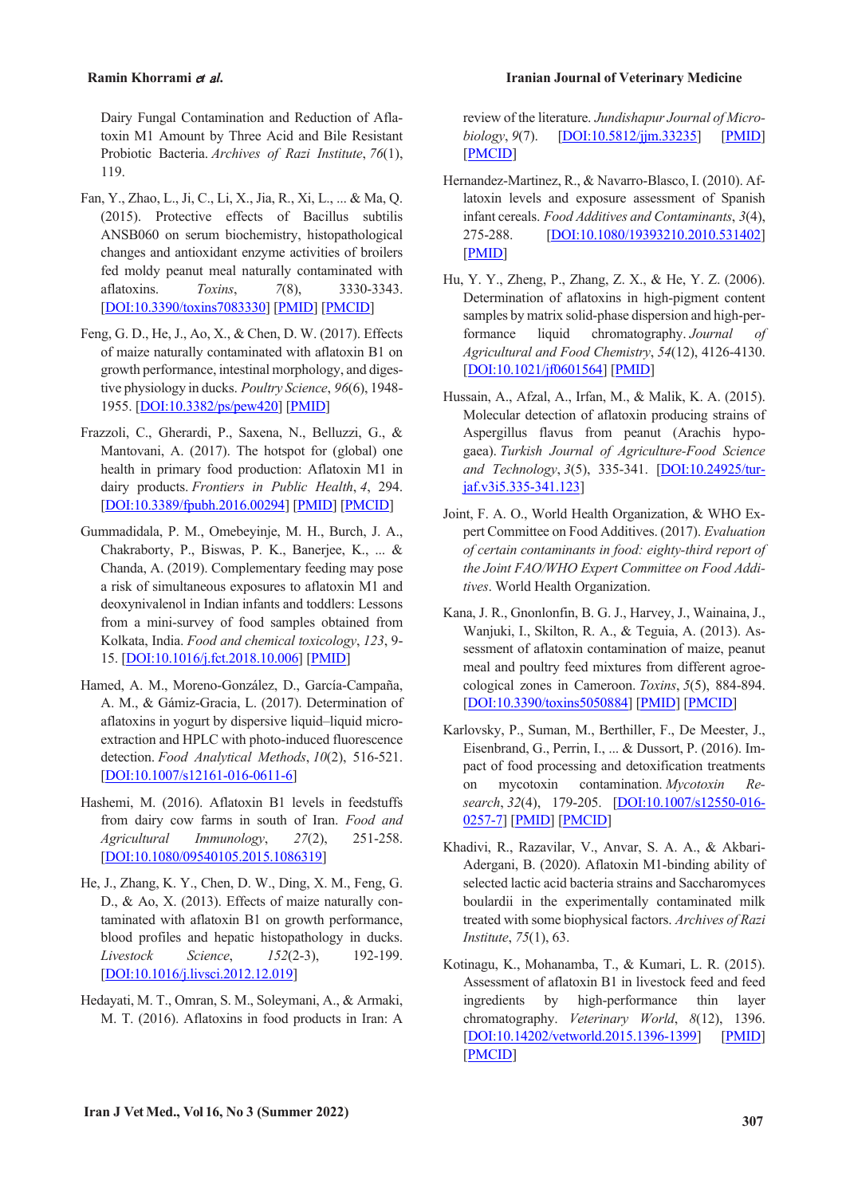Dairy Fungal Contamination and Reduction of Aflatoxin M1 Amount by Three Acid and Bile Resistant Probiotic Bacteria. *Archives of Razi Institute*, *76*(1), 119.

- Fan, Y., Zhao, L., Ji, C., Li, X., Jia, R., Xi, L., ... & Ma, Q. (2015). Protective effects of Bacillus subtilis ANSB060 on serum biochemistry, histopathological changes and antioxidant enzyme activities of broilers fed moldy peanut meal naturally contaminated with aflatoxins. *Toxins*, *7*(8), 3330-3343. [DOI:10.3390/toxins7083330] [PMID] [PMCID]
- Feng, G. D., He, J., Ao, X., & Chen, D. W. (2017). Effects of maize naturally contaminated with aflatoxin B1 on growth performance, intestinal morphology, and digestive physiology in ducks. *Poultry Science*, *96*(6), 1948- 1955. [DOI:10.3382/ps/pew420] [PMID]
- Frazzoli, C., Gherardi, P., Saxena, N., Belluzzi, G., & Mantovani, A. (2017). The hotspot for (global) one health in primary food production: Aflatoxin M1 in dairy products. *Frontiers in Public Health*, *4*, 294. [DOI:10.3389/fpubh.2016.00294] [PMID] [PMCID]
- Gummadidala, P. M., Omebeyinje, M. H., Burch, J. A., Chakraborty, P., Biswas, P. K., Banerjee, K., ... & Chanda, A. (2019). Complementary feeding may pose a risk of simultaneous exposures to aflatoxin M1 and deoxynivalenol in Indian infants and toddlers: Lessons from a mini-survey of food samples obtained from Kolkata, India. *Food and chemical toxicology*, *123*, 9- 15. [DOI:10.1016/j.fct.2018.10.006] [PMID]
- Hamed, A. M., Moreno-González, D., García-Campaña, A. M., & Gámiz-Gracia, L. (2017). Determination of aflatoxins in yogurt by dispersive liquid–liquid microextraction and HPLC with photo-induced fluorescence detection. *Food Analytical Methods*, *10*(2), 516-521. [DOI:10.1007/s12161-016-0611-6]
- Hashemi, M. (2016). Aflatoxin B1 levels in feedstuffs from dairy cow farms in south of Iran. *Food and Agricultural Immunology*, *27*(2), 251-258. [DOI:10.1080/09540105.2015.1086319]
- He, J., Zhang, K. Y., Chen, D. W., Ding, X. M., Feng, G. D., & Ao, X. (2013). Effects of maize naturally contaminated with aflatoxin B1 on growth performance, blood profiles and hepatic histopathology in ducks. *Livestock Science*, *152*(2-3), 192-199. [DOI:10.1016/j.livsci.2012.12.019]
- Hedayati, M. T., Omran, S. M., Soleymani, A., & Armaki, M. T. (2016). Aflatoxins in food products in Iran: A

review of the literature. *Jundishapur Journal of Microbiology*, *9*(7). [DOI:10.5812/jjm.33235] [PMID] [PMCID]

- Hernandez-Martinez, R., & Navarro-Blasco, I. (2010). Aflatoxin levels and exposure assessment of Spanish infant cereals. *Food Additives and Contaminants*, *3*(4), 275-288. [DOI:10.1080/19393210.2010.531402] [PMID]
- Hu, Y. Y., Zheng, P., Zhang, Z. X., & He, Y. Z. (2006). Determination of aflatoxins in high-pigment content samples by matrix solid-phase dispersion and high-performance liquid chromatography. *Journal of Agricultural and Food Chemistry*, *54*(12), 4126-4130. [DOI:10.1021/jf0601564] [PMID]
- Hussain, A., Afzal, A., Irfan, M., & Malik, K. A. (2015). Molecular detection of aflatoxin producing strains of Aspergillus flavus from peanut (Arachis hypogaea). *Turkish Journal of Agriculture-Food Science and Technology*, *3*(5), 335-341. [DOI:10.24925/turjaf.v3i5.335-341.123]
- Joint, F. A. O., World Health Organization, & WHO Expert Committee on Food Additives. (2017). *Evaluation of certain contaminants in food: eighty-third report of the Joint FAO/WHO Expert Committee on Food Additives*. World Health Organization.
- Kana, J. R., Gnonlonfin, B. G. J., Harvey, J., Wainaina, J., Wanjuki, I., Skilton, R. A., & Teguia, A. (2013). Assessment of aflatoxin contamination of maize, peanut meal and poultry feed mixtures from different agroecological zones in Cameroon. *Toxins*, *5*(5), 884-894. [DOI:10.3390/toxins5050884] [PMID] [PMCID]
- Karlovsky, P., Suman, M., Berthiller, F., De Meester, J., Eisenbrand, G., Perrin, I., ... & Dussort, P. (2016). Impact of food processing and detoxification treatments on mycotoxin contamination. *Mycotoxin Research*, *32*(4), 179-205. [DOI:10.1007/s12550-016- 0257-7] [PMID] [PMCID]
- Khadivi, R., Razavilar, V., Anvar, S. A. A., & Akbari-Adergani, B. (2020). Aflatoxin M1-binding ability of selected lactic acid bacteria strains and Saccharomyces boulardii in the experimentally contaminated milk treated with some biophysical factors. *Archives of Razi Institute*, *75*(1), 63.
- Kotinagu, K., Mohanamba, T., & Kumari, L. R. (2015). Assessment of aflatoxin B1 in livestock feed and feed ingredients by high-performance thin layer chromatography. *Veterinary World*, *8*(12), 1396. [DOI:10.14202/vetworld.2015.1396-1399] [PMID] [PMCID]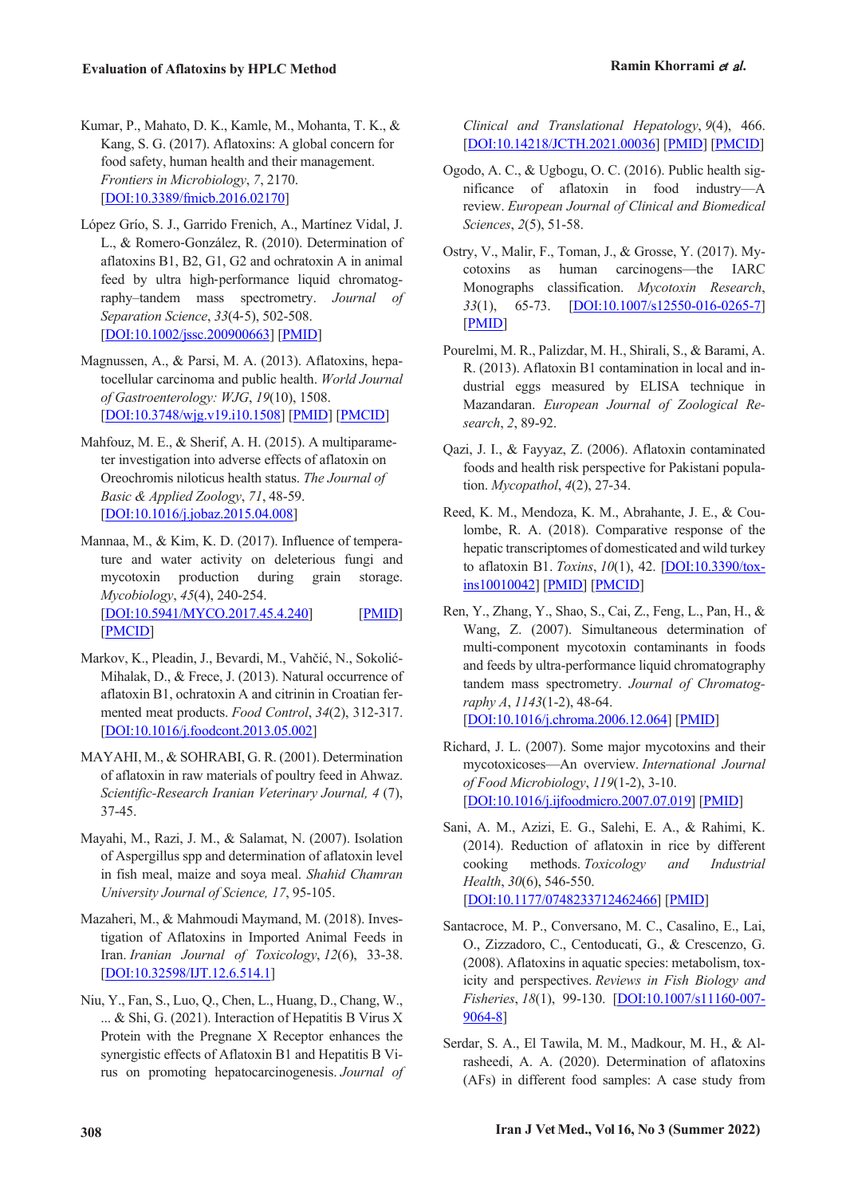- Kumar, P., Mahato, D. K., Kamle, M., Mohanta, T. K., & Kang, S. G. (2017). Aflatoxins: A global concern for food safety, human health and their management. *Frontiers in Microbiology*, *7*, 2170. [DOI:10.3389/fmicb.2016.02170]
- López Grío, S. J., Garrido Frenich, A., Martínez Vidal, J. L., & Romero‐González, R. (2010). Determination of aflatoxins B1, B2, G1, G2 and ochratoxin A in animal feed by ultra high-performance liquid chromatography–tandem mass spectrometry. *Journal of Separation Science*, *33*(4‐5), 502-508. [DOI:10.1002/jssc.200900663] [PMID]
- Magnussen, A., & Parsi, M. A. (2013). Aflatoxins, hepatocellular carcinoma and public health. *World Journal of Gastroenterology: WJG*, *19*(10), 1508. [DOI:10.3748/wjg.v19.i10.1508] [PMID] [PMCID]
- Mahfouz, M. E., & Sherif, A. H. (2015). A multiparameter investigation into adverse effects of aflatoxin on Oreochromis niloticus health status. *The Journal of Basic & Applied Zoology*, *71*, 48-59. [DOI:10.1016/j.jobaz.2015.04.008]
- Mannaa, M., & Kim, K. D. (2017). Influence of temperature and water activity on deleterious fungi and mycotoxin production during grain storage. *Mycobiology*, *45*(4), 240-254. [DOI:10.5941/MYCO.2017.45.4.240] [PMID] [PMCID]
- Markov, K., Pleadin, J., Bevardi, M., Vahčić, N., Sokolić-Mihalak, D., & Frece, J. (2013). Natural occurrence of aflatoxin B1, ochratoxin A and citrinin in Croatian fermented meat products. *Food Control*, *34*(2), 312-317. [DOI:10.1016/j.foodcont.2013.05.002]
- MAYAHI, M., & SOHRABI, G. R. (2001). Determination of aflatoxin in raw materials of poultry feed in Ahwaz. *Scientific-Research Iranian Veterinary Journal, 4* (7), 37-45.
- Mayahi, M., Razi, J. M., & Salamat, N. (2007). Isolation of Aspergillus spp and determination of aflatoxin level in fish meal, maize and soya meal. *Shahid Chamran University Journal of Science, 17*, 95-105.
- Mazaheri, M., & Mahmoudi Maymand, M. (2018). Investigation of Aflatoxins in Imported Animal Feeds in Iran. *Iranian Journal of Toxicology*, *12*(6), 33-38. [DOI:10.32598/IJT.12.6.514.1]
- Niu, Y., Fan, S., Luo, Q., Chen, L., Huang, D., Chang, W., ... & Shi, G. (2021). Interaction of Hepatitis B Virus X Protein with the Pregnane X Receptor enhances the synergistic effects of Aflatoxin B1 and Hepatitis B Virus on promoting hepatocarcinogenesis. *Journal of*

*Clinical and Translational Hepatology*, *9*(4), 466. [DOI:10.14218/JCTH.2021.00036] [PMID] [PMCID]

- Ogodo, A. C., & Ugbogu, O. C. (2016). Public health significance of aflatoxin in food industry—A review. *European Journal of Clinical and Biomedical Sciences*, *2*(5), 51-58.
- Ostry, V., Malir, F., Toman, J., & Grosse, Y. (2017). Mycotoxins as human carcinogens—the IARC Monographs classification. *Mycotoxin Research*, *33*(1), 65-73. [DOI:10.1007/s12550-016-0265-7] [PMID]
- Pourelmi, M. R., Palizdar, M. H., Shirali, S., & Barami, A. R. (2013). Aflatoxin B1 contamination in local and industrial eggs measured by ELISA technique in Mazandaran. *European Journal of Zoological Research*, *2*, 89-92.
- Qazi, J. I., & Fayyaz, Z. (2006). Aflatoxin contaminated foods and health risk perspective for Pakistani population. *Mycopathol*, *4*(2), 27-34.
- Reed, K. M., Mendoza, K. M., Abrahante, J. E., & Coulombe, R. A. (2018). Comparative response of the hepatic transcriptomes of domesticated and wild turkey to aflatoxin B1. *Toxins*, *10*(1), 42. [DOI:10.3390/toxins10010042] [PMID] [PMCID]
- Ren, Y., Zhang, Y., Shao, S., Cai, Z., Feng, L., Pan, H., & Wang, Z. (2007). Simultaneous determination of multi-component mycotoxin contaminants in foods and feeds by ultra-performance liquid chromatography tandem mass spectrometry. *Journal of Chromatography A*, *1143*(1-2), 48-64. [DOI:10.1016/j.chroma.2006.12.064] [PMID]
- Richard, J. L. (2007). Some major mycotoxins and their mycotoxicoses—An overview. *International Journal of Food Microbiology*, *119*(1-2), 3-10. [DOI:10.1016/j.ijfoodmicro.2007.07.019] [PMID]
- Sani, A. M., Azizi, E. G., Salehi, E. A., & Rahimi, K. (2014). Reduction of aflatoxin in rice by different cooking methods. *Toxicology and Industrial Health*, *30*(6), 546-550. [DOI:10.1177/0748233712462466] [PMID]
- Santacroce, M. P., Conversano, M. C., Casalino, E., Lai, O., Zizzadoro, C., Centoducati, G., & Crescenzo, G. (2008). Aflatoxins in aquatic species: metabolism, toxicity and perspectives. *Reviews in Fish Biology and Fisheries*, *18*(1), 99-130. [DOI:10.1007/s11160-007- 9064-8]
- Serdar, S. A., El Tawila, M. M., Madkour, M. H., & Alrasheedi, A. A. (2020). Determination of aflatoxins (AFs) in different food samples: A case study from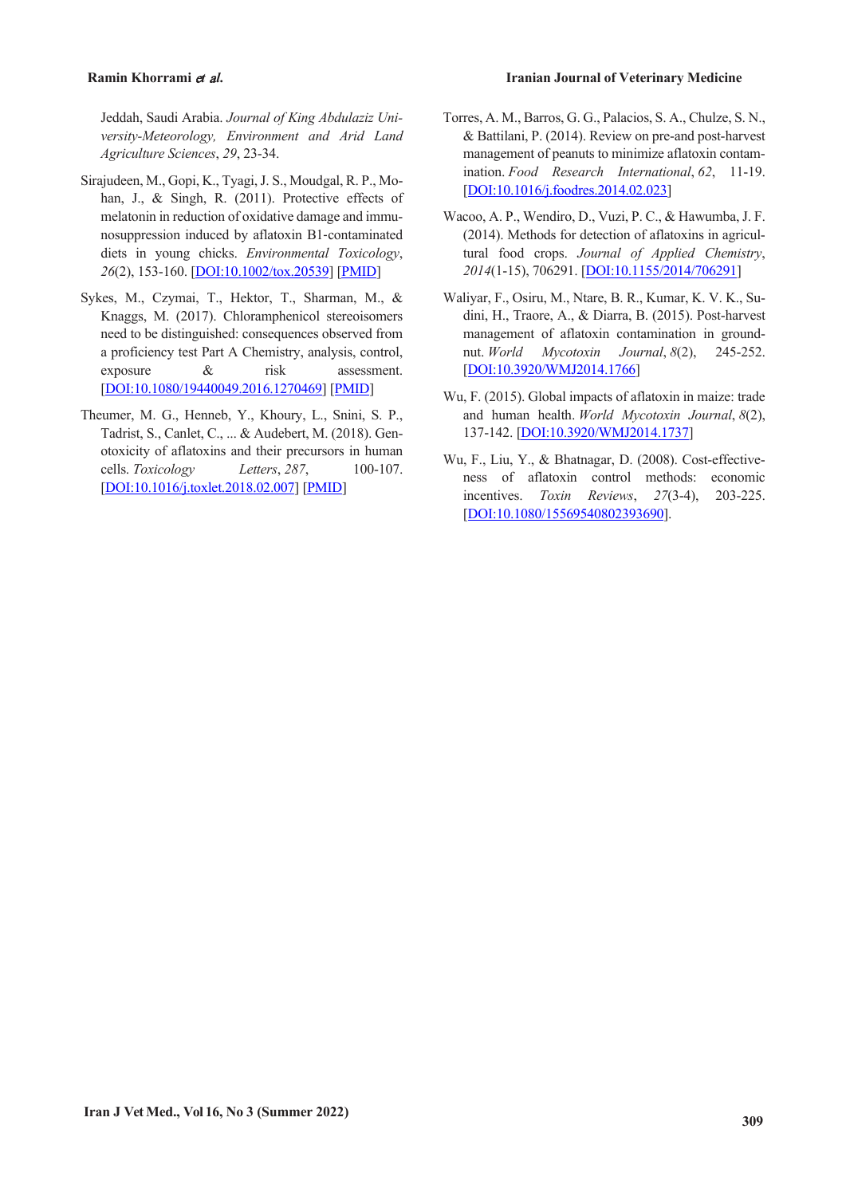Jeddah, Saudi Arabia. *Journal of King Abdulaziz University-Meteorology, Environment and Arid Land Agriculture Sciences*, *29*, 23-34.

- Sirajudeen, M., Gopi, K., Tyagi, J. S., Moudgal, R. P., Mohan, J., & Singh, R. (2011). Protective effects of melatonin in reduction of oxidative damage and immunosuppression induced by aflatoxin B1‐contaminated diets in young chicks. *Environmental Toxicology*, *26*(2), 153-160. [DOI:10.1002/tox.20539] [PMID]
- Sykes, M., Czymai, T., Hektor, T., Sharman, M., & Knaggs, M. (2017). Chloramphenicol stereoisomers need to be distinguished: consequences observed from a proficiency test Part A Chemistry, analysis, control, exposure & risk assessment. [DOI:10.1080/19440049.2016.1270469] [PMID]
- Theumer, M. G., Henneb, Y., Khoury, L., Snini, S. P., Tadrist, S., Canlet, C., ... & Audebert, M. (2018). Genotoxicity of aflatoxins and their precursors in human cells. *Toxicology Letters*, *287*, 100-107. [DOI:10.1016/j.toxlet.2018.02.007] [PMID]
- Torres, A. M., Barros, G. G., Palacios, S. A., Chulze, S. N., & Battilani, P. (2014). Review on pre-and post-harvest management of peanuts to minimize aflatoxin contamination. *Food Research International*, *62*, 11-19. [DOI:10.1016/j.foodres.2014.02.023]
- Wacoo, A. P., Wendiro, D., Vuzi, P. C., & Hawumba, J. F. (2014). Methods for detection of aflatoxins in agricultural food crops. *Journal of Applied Chemistry*, *2014*(1-15), 706291. [DOI:10.1155/2014/706291]
- Waliyar, F., Osiru, M., Ntare, B. R., Kumar, K. V. K., Sudini, H., Traore, A., & Diarra, B. (2015). Post-harvest management of aflatoxin contamination in groundnut. *World Mycotoxin Journal*, *8*(2), 245-252. [DOI:10.3920/WMJ2014.1766]
- Wu, F. (2015). Global impacts of aflatoxin in maize: trade and human health. *World Mycotoxin Journal*, *8*(2), 137-142. [DOI:10.3920/WMJ2014.1737]
- Wu, F., Liu, Y., & Bhatnagar, D. (2008). Cost-effectiveness of aflatoxin control methods: economic incentives. *Toxin Reviews*, *27*(3-4), 203-225. [DOI:10.1080/15569540802393690].